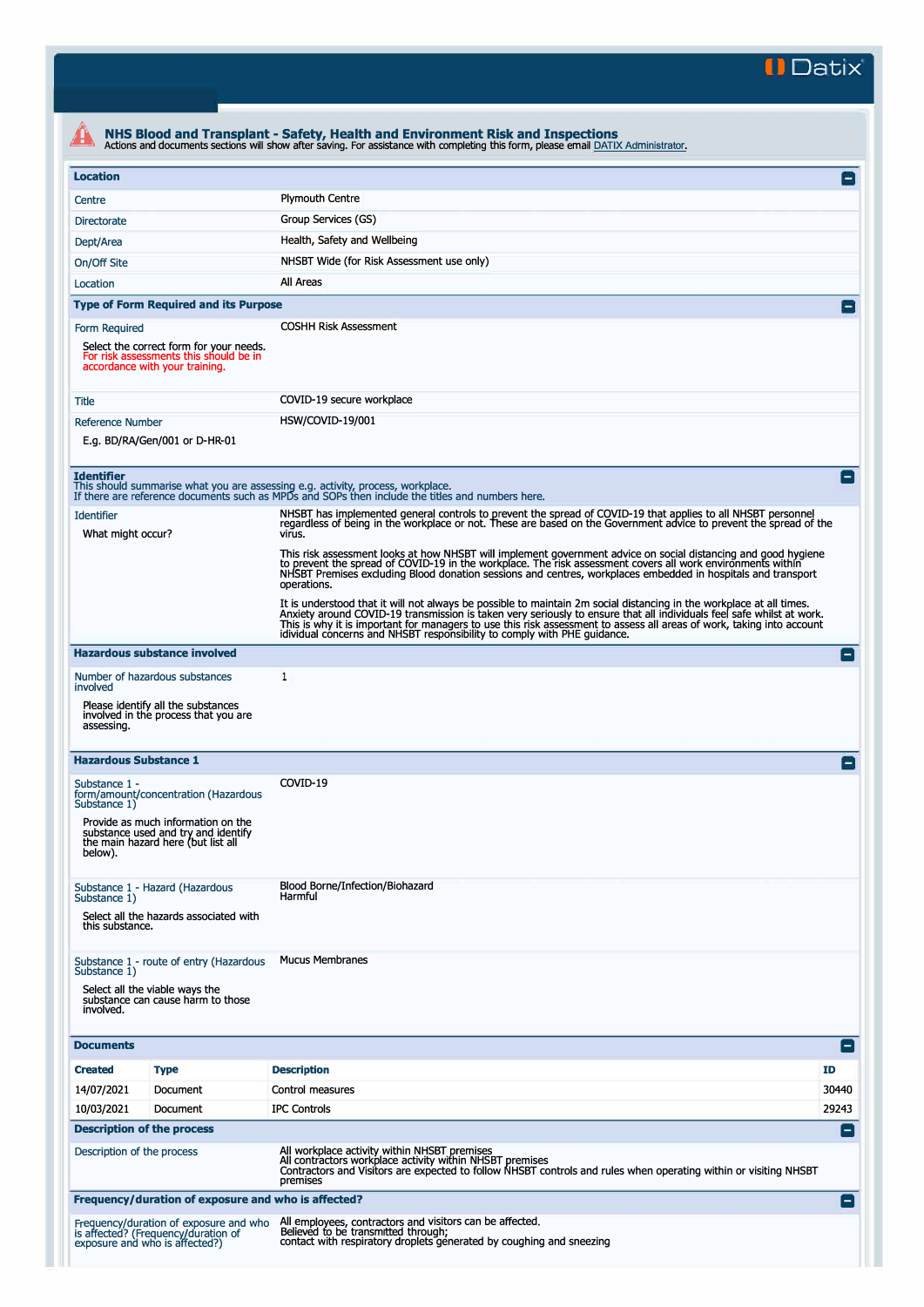**II Datix"** 

| <b>Location</b>                        |                                                                                                                     |                                                                                                                                                                                                                                                                                                                                                                                                                                        |
|----------------------------------------|---------------------------------------------------------------------------------------------------------------------|----------------------------------------------------------------------------------------------------------------------------------------------------------------------------------------------------------------------------------------------------------------------------------------------------------------------------------------------------------------------------------------------------------------------------------------|
| Centre                                 |                                                                                                                     | <b>Plymouth Centre</b>                                                                                                                                                                                                                                                                                                                                                                                                                 |
|                                        |                                                                                                                     | Group Services (GS)                                                                                                                                                                                                                                                                                                                                                                                                                    |
| <b>Directorate</b>                     |                                                                                                                     |                                                                                                                                                                                                                                                                                                                                                                                                                                        |
| Dept/Area                              |                                                                                                                     | Health, Safety and Wellbeing                                                                                                                                                                                                                                                                                                                                                                                                           |
| On/Off Site                            |                                                                                                                     | NHSBT Wide (for Risk Assessment use only)                                                                                                                                                                                                                                                                                                                                                                                              |
| Location                               |                                                                                                                     | All Areas                                                                                                                                                                                                                                                                                                                                                                                                                              |
|                                        | <b>Type of Form Required and its Purpose</b>                                                                        |                                                                                                                                                                                                                                                                                                                                                                                                                                        |
| Form Required                          | Select the correct form for your needs.<br>For risk assessments this should be in<br>accordance with your training. | <b>COSHH Risk Assessment</b>                                                                                                                                                                                                                                                                                                                                                                                                           |
| Title                                  |                                                                                                                     | COVID-19 secure workplace                                                                                                                                                                                                                                                                                                                                                                                                              |
| <b>Reference Number</b>                |                                                                                                                     | HSW/COVID-19/001                                                                                                                                                                                                                                                                                                                                                                                                                       |
|                                        | E.g. BD/RA/Gen/001 or D-HR-01                                                                                       |                                                                                                                                                                                                                                                                                                                                                                                                                                        |
| <b>Identifier</b>                      |                                                                                                                     | This should summarise what you are assessing e.g. activity, process, workplace.<br>If there are reference documents such as MPDs and SOPs then include the titles and numbers here.                                                                                                                                                                                                                                                    |
|                                        |                                                                                                                     | NHSBT has implemented general controls to prevent the spread of COVID-19 that applies to all NHSBT personnel                                                                                                                                                                                                                                                                                                                           |
| <b>Identifier</b><br>What might occur? |                                                                                                                     | regardless of being in the workplace or not. These are based on the Government advice to prevent the spread of the<br>virus.                                                                                                                                                                                                                                                                                                           |
|                                        |                                                                                                                     | This risk assessment looks at how NHSBT will implement government advice on social distancing and good hygiene<br>to prevent the spread of COVID-19 in the workplace. The risk assessment covers all work environments within<br>NHSBT Premises excluding Blood donation sessions and centres, workplaces embedded in hospitals and transport<br>operations.                                                                           |
|                                        |                                                                                                                     | It is understood that it will not always be possible to maintain 2m social distancing in the workplace at all times.<br>Anxiety around COVID-19 transmission is taken very seriously to ensure that all individuals feel safe whi<br>This is why it is important for managers to use this risk assessment to assess all areas of work, taking into account<br>idividual concerns and NHSBT responsibility to comply with PHE guidance. |
|                                        | <b>Hazardous substance involved</b>                                                                                 |                                                                                                                                                                                                                                                                                                                                                                                                                                        |
| involved                               | Number of hazardous substances                                                                                      | 1                                                                                                                                                                                                                                                                                                                                                                                                                                      |
| assessing.                             | Please identify all the substances<br>involved in the process that you are                                          |                                                                                                                                                                                                                                                                                                                                                                                                                                        |
| <b>Hazardous Substance 1</b>           |                                                                                                                     |                                                                                                                                                                                                                                                                                                                                                                                                                                        |
| Substance 1 -<br>Substance 1)          | form/amount/concentration (Hazardous                                                                                | COVID-19                                                                                                                                                                                                                                                                                                                                                                                                                               |
| below).                                | Provide as much information on the<br>substance used and try and identify<br>the main hazard here (but list all     |                                                                                                                                                                                                                                                                                                                                                                                                                                        |
| Substance 1)                           | Substance 1 - Hazard (Hazardous<br>Select all the hazards associated with                                           | Blood Borne/Infection/Biohazard<br>Harmful                                                                                                                                                                                                                                                                                                                                                                                             |
| this substance.                        |                                                                                                                     |                                                                                                                                                                                                                                                                                                                                                                                                                                        |
|                                        | Substance 1 - route of entry (Hazardous                                                                             | <b>Mucus Membranes</b>                                                                                                                                                                                                                                                                                                                                                                                                                 |
| Substance 1)<br>involved.              | Select all the viable ways the<br>substance can cause harm to those                                                 |                                                                                                                                                                                                                                                                                                                                                                                                                                        |
| <b>Documents</b>                       |                                                                                                                     |                                                                                                                                                                                                                                                                                                                                                                                                                                        |
| <b>Created</b>                         | <b>Type</b>                                                                                                         | <b>Description</b><br>ID                                                                                                                                                                                                                                                                                                                                                                                                               |
| 14/07/2021                             | Document                                                                                                            | Control measures<br>30440                                                                                                                                                                                                                                                                                                                                                                                                              |
| 10/03/2021                             | Document                                                                                                            | 29243<br><b>IPC Controls</b>                                                                                                                                                                                                                                                                                                                                                                                                           |
|                                        | <b>Description of the process</b>                                                                                   |                                                                                                                                                                                                                                                                                                                                                                                                                                        |
| Description of the process             |                                                                                                                     | All workplace activity within NHSBT premises<br>All contractors workplace activity within NHSBT premises<br>Contractors and Visitors are expected to follow NHSBT controls and rules when operating within or visiting NHSBT<br>premises                                                                                                                                                                                               |
|                                        |                                                                                                                     |                                                                                                                                                                                                                                                                                                                                                                                                                                        |